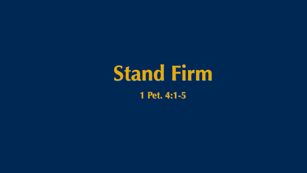

# **Stand Firm 1 Pet. 4:1-5**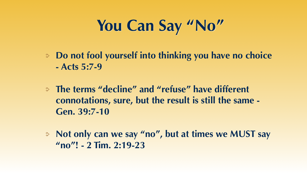## **You Can Say "No"**

#### **Do not fool yourself into thinking you have no choice**

**- Acts 5:7-9**

#### **The terms "decline" and "refuse" have different connotations, sure, but the result is still the same -**

**Gen. 39:7-10**

**Not only can we say "no", but at times we MUST say "no"! - 2 Tim. 2:19-23**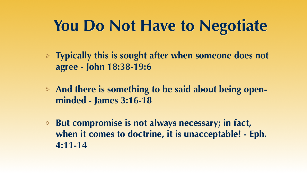## **You Do Not Have to Negotiate**

**agree - John 18:38-19:6**

- **Typically this is sought after when someone does not**
- **And there is something to be said about being open-**
- **But compromise is not always necessary; in fact, when it comes to doctrine, it is unacceptable! - Eph.**

**minded - James 3:16-18**

**4:11-14**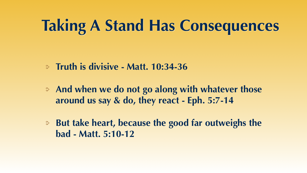### **Taking A Stand Has Consequences**

#### **Truth is divisive - Matt. 10:34-36**

**And when we do not go along with whatever those around us say & do, they react - Eph. 5:7-14**

**But take heart, because the good far outweighs the** 

- 
- **bad Matt. 5:10-12**